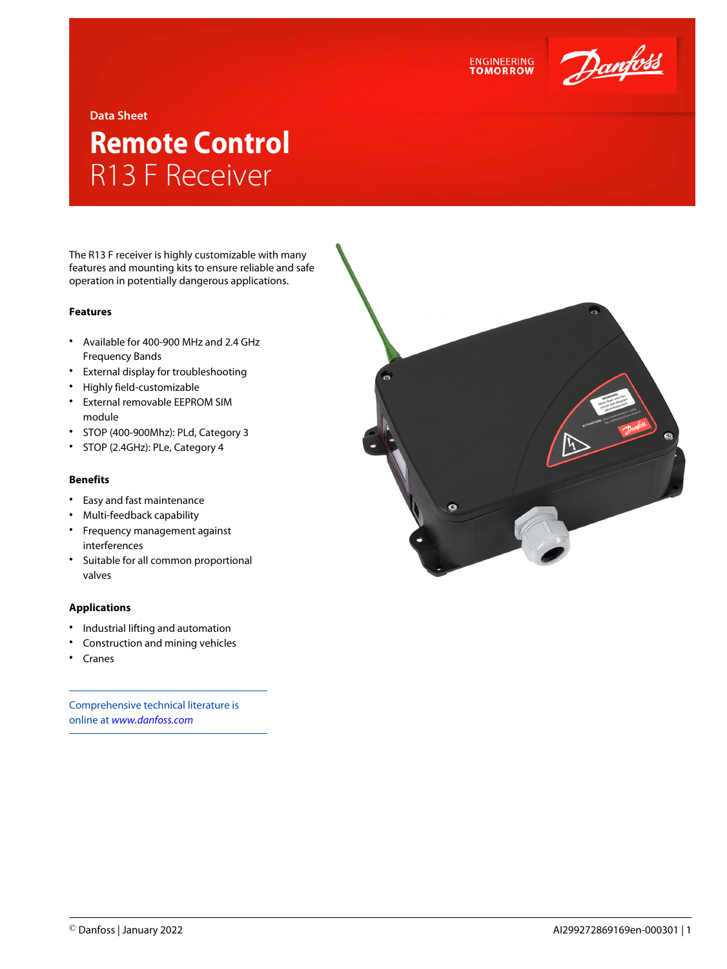

### **Data Sheet**

# **Remote Control** R13 F Receiver

The R13 F receiver is highly customizable with many features and mounting kits to ensure reliable and safe operation in potentially dangerous applications.

### **Features**

- Available for 400-900 MHz and 2.4 GHz Frequency Bands
- External display for troubleshooting
- Highly field-customizable
- External removable EEPROM SIM module
- STOP (400-900Mhz): PLd, Category 3
- STOP (2.4GHz): PLe, Category 4

## **Benefits**

- Easy and fast maintenance
- Multi-feedback capability
- Frequency management against interferences
- Suitable for all common proportional valves

#### **Applications**

- Industrial lifting and automation
- Construction and mining vehicles
- Cranes

Comprehensive technical literature is online at *[www.danfoss.com](https://www.danfoss.com/en/search/?filter=type%3Adocumentation%2Csegment%3Adps)*



**ENGINEERING**<br>TOMORROW